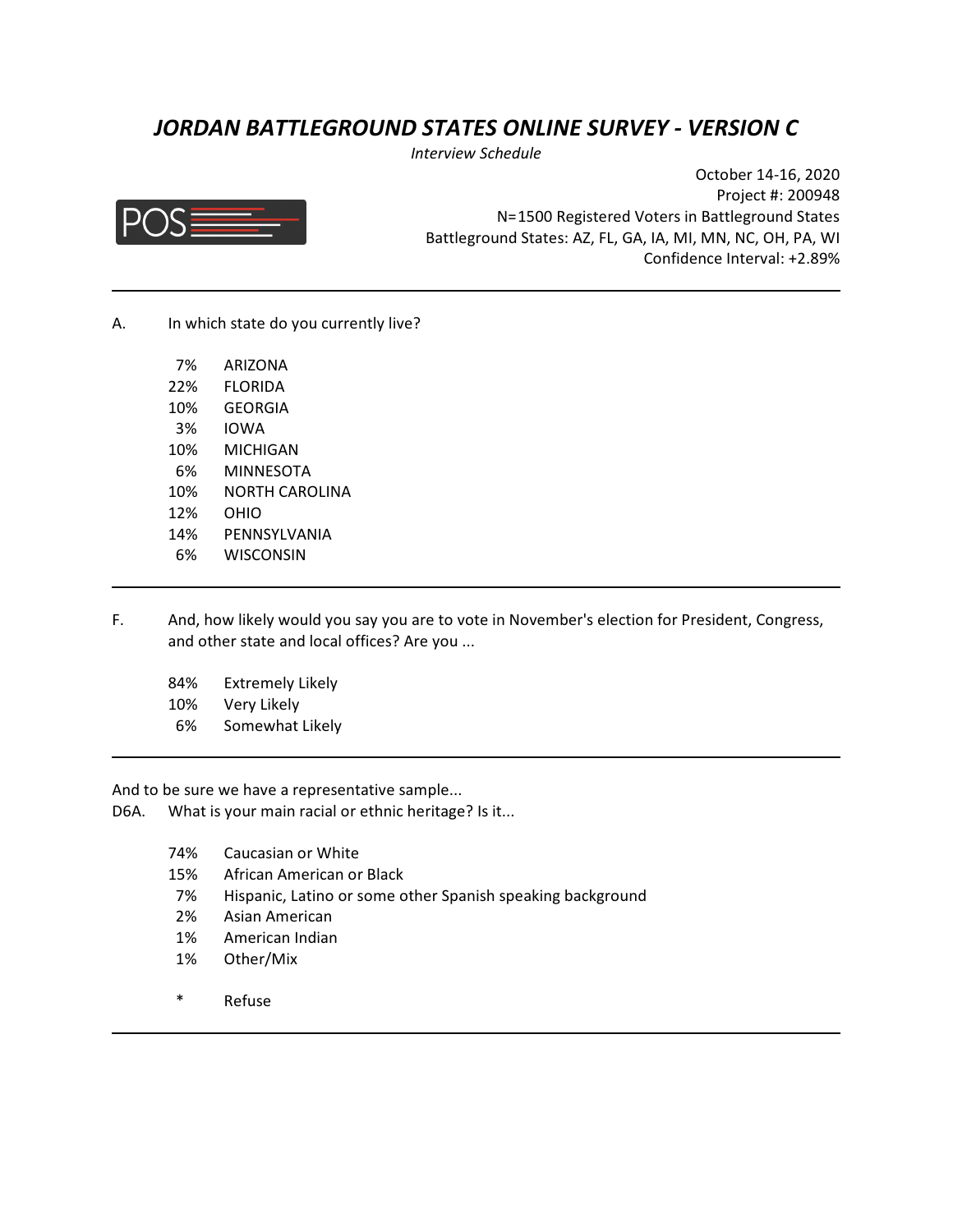# *JORDAN BATTLEGROUND STATES ONLINE SURVEY - VERSION C*

*Interview Schedule*



October 14-16, 2020 Project #: 200948 N=1500 Registered Voters in Battleground States Battleground States: AZ, FL, GA, IA, MI, MN, NC, OH, PA, WI Confidence Interval: +2.89%

A. In which state do you currently live?

| 7%  | <b>ARIZONA</b> |
|-----|----------------|
| 22% | FLORIDA        |
| 10% | GEORGIA        |
| 3%  | IOWA           |
| 10% | MICHIGAN       |
| 6%  | MINNESOTA      |
| 10% | NORTH CAROLINA |
| 12% | OHIO           |
| 14% | PENNSYLVANIA   |
| 6%  | WISCONSIN      |

- F. And, how likely would you say you are to vote in November's election for President, Congress, and other state and local offices? Are you ...
	- 84% Extremely Likely
	- 10% Very Likely
	- 6% Somewhat Likely

And to be sure we have a representative sample...

- D6A. What is your main racial or ethnic heritage? Is it...
	- 74% Caucasian or White
	- 15% African American or Black
	- 7% Hispanic, Latino or some other Spanish speaking background
	- 2% Asian American
	- 1% American Indian
	- 1% Other/Mix
	- \* Refuse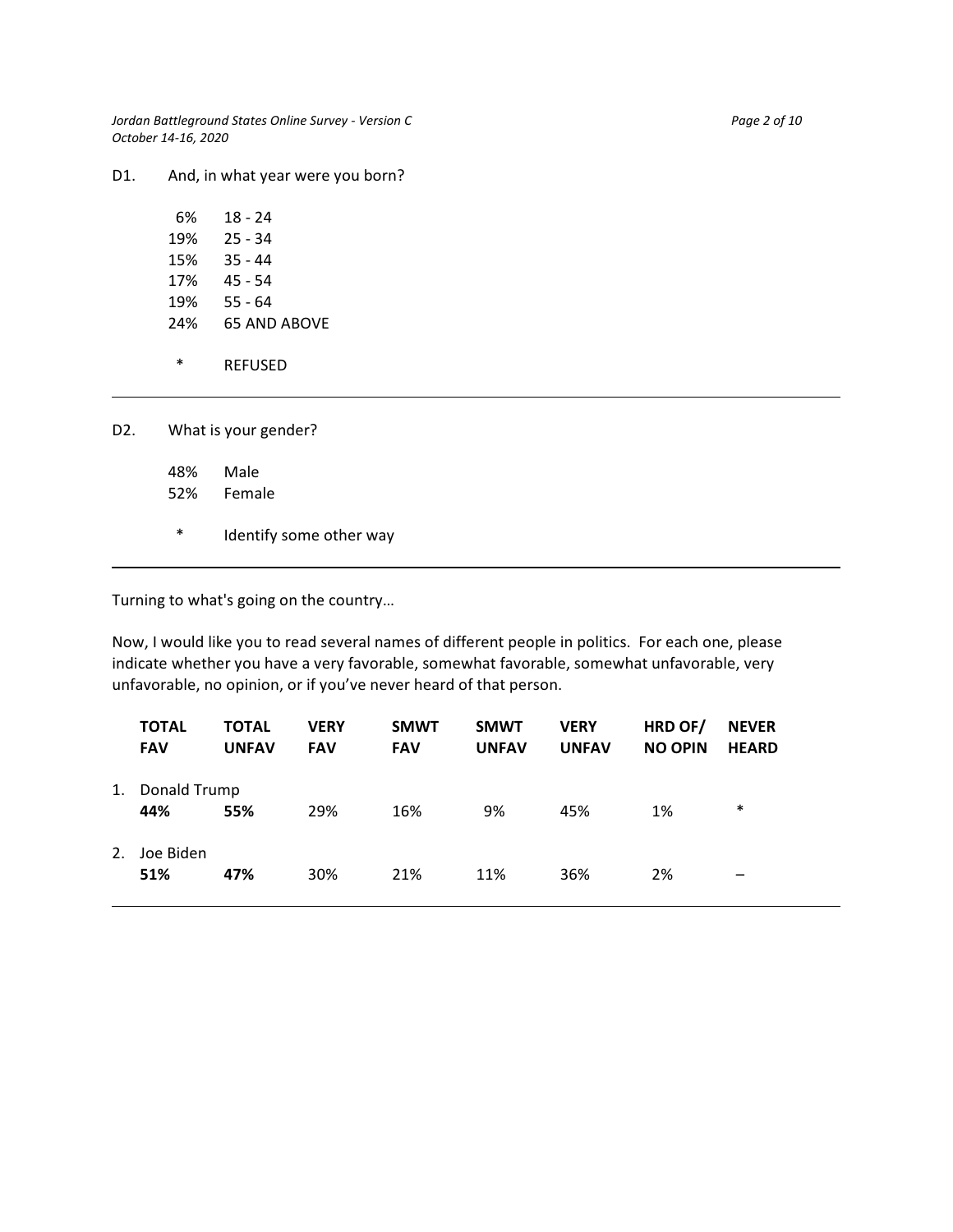*Jordan Battleground States Online Survey - Version C* Page 2 of 10 Page 2 of 10 *October 14-16, 2020*

D1. And, in what year were you born?

| 6%  | 18 - 24             |
|-----|---------------------|
| 19% | 25 - 34             |
| 15% | 35 - 44             |
| 17% | 45 - 54             |
| 19% | 55 - 64             |
| 24% | <b>65 AND ABOVE</b> |
|     |                     |
| *   | REFUSED             |

D2. What is your gender?

48% Male

- 52% Female
- \* Identify some other way

Turning to what's going on the country…

Now, I would like you to read several names of different people in politics. For each one, please indicate whether you have a very favorable, somewhat favorable, somewhat unfavorable, very unfavorable, no opinion, or if you've never heard of that person.

|    | <b>TOTAL</b><br><b>FAV</b> | <b>TOTAL</b><br><b>UNFAV</b> | <b>VERY</b><br><b>FAV</b> | <b>SMWT</b><br><b>FAV</b> | <b>SMWT</b><br><b>UNFAV</b> | <b>VERY</b><br><b>UNFAV</b> | HRD OF/<br><b>NO OPIN</b> | <b>NEVER</b><br><b>HEARD</b> |
|----|----------------------------|------------------------------|---------------------------|---------------------------|-----------------------------|-----------------------------|---------------------------|------------------------------|
| 1. | Donald Trump<br>44%        | 55%                          | 29%                       | 16%                       | 9%                          | 45%                         | 1%                        | $\ast$                       |
| 2. | Joe Biden<br>51%           | 47%                          | 30%                       | 21%                       | 11%                         | 36%                         | 2%                        | –                            |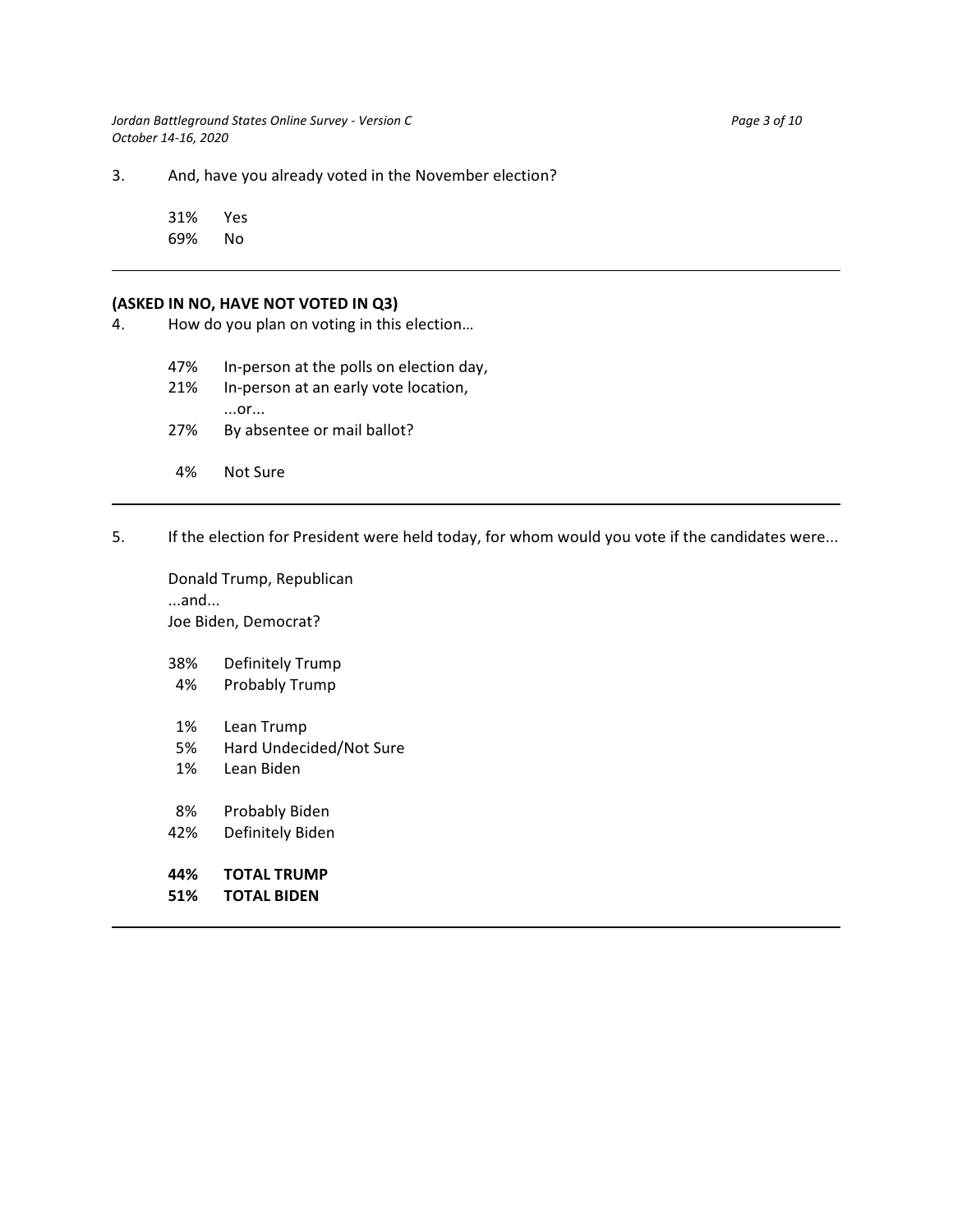*Jordan Battleground States Online Survey - Version C* Page 3 of 10 *October 14-16, 2020*

3. And, have you already voted in the November election?

31% Yes 69% No

#### **(ASKED IN NO, HAVE NOT VOTED IN Q3)**

4. How do you plan on voting in this election…

47% In-person at the polls on election day,

- 21% In-person at an early vote location, ...or... 27% By absentee or mail ballot?
- 4% Not Sure
- 5. If the election for President were held today, for whom would you vote if the candidates were...

Donald Trump, Republican ...and... Joe Biden, Democrat?

38% Definitely Trump

- 4% Probably Trump
- 1% Lean Trump
- 5% Hard Undecided/Not Sure
- 1% Lean Biden
- 8% Probably Biden
- 42% Definitely Biden
- **44% TOTAL TRUMP**
- **51% TOTAL BIDEN**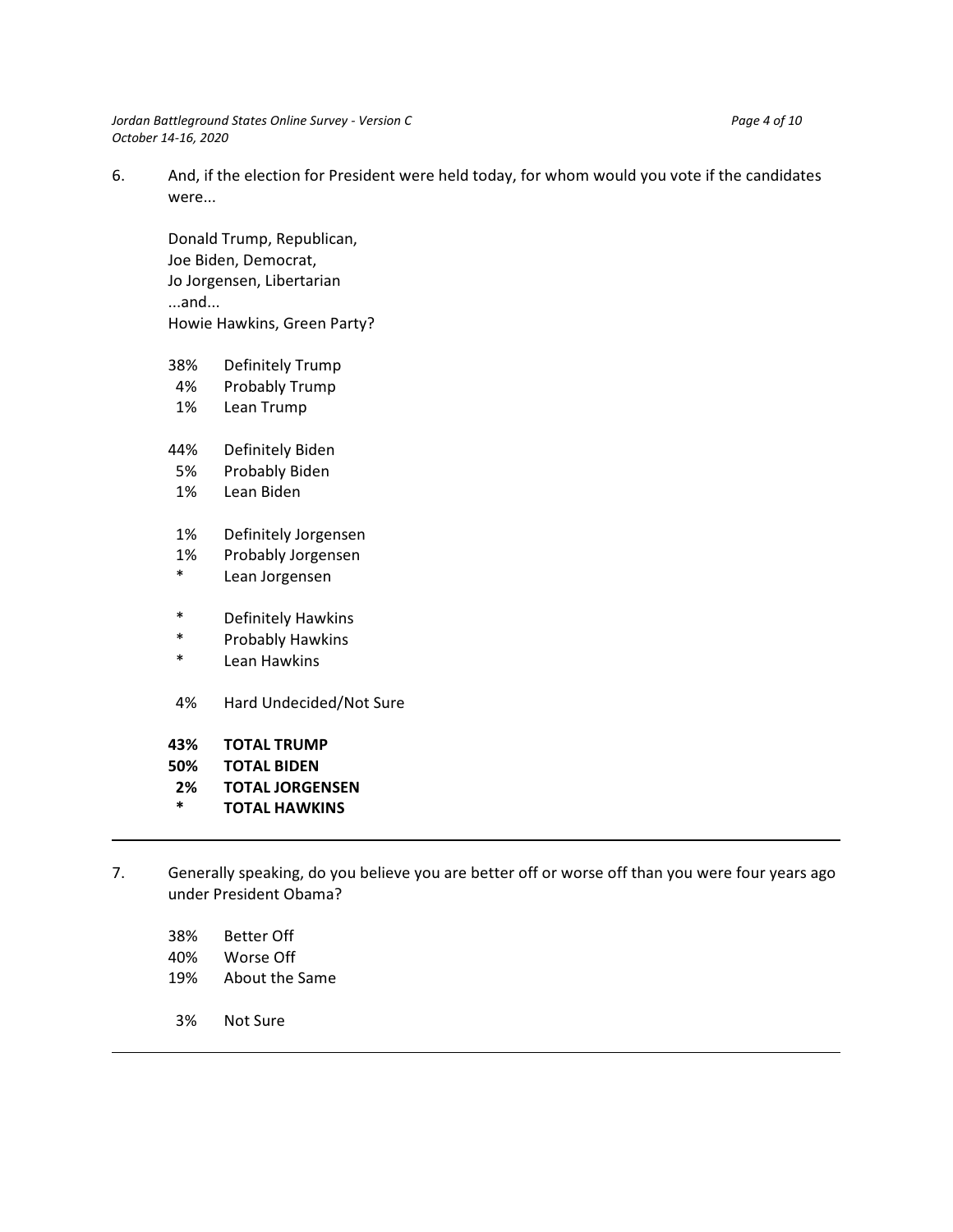*Jordan Battleground States Online Survey - Version C* Page 4 of 10 *October 14-16, 2020*

6. And, if the election for President were held today, for whom would you vote if the candidates were...

Donald Trump, Republican, Joe Biden, Democrat, Jo Jorgensen, Libertarian ...and... Howie Hawkins, Green Party?

- 38% Definitely Trump
- 4% Probably Trump
- 1% Lean Trump
- 44% Definitely Biden
- 5% Probably Biden
- 1% Lean Biden
- 1% Definitely Jorgensen
- 1% Probably Jorgensen
- \* Lean Jorgensen
- \* Definitely Hawkins
- \* Probably Hawkins
- Lean Hawkins
- 4% Hard Undecided/Not Sure
- **43% TOTAL TRUMP**
- **50% TOTAL BIDEN**
- **2% TOTAL JORGENSEN**
- **\* TOTAL HAWKINS**
- 7. Generally speaking, do you believe you are better off or worse off than you were four years ago under President Obama?
	- 38% Better Off
	- 40% Worse Off
	- 19% About the Same
	- 3% Not Sure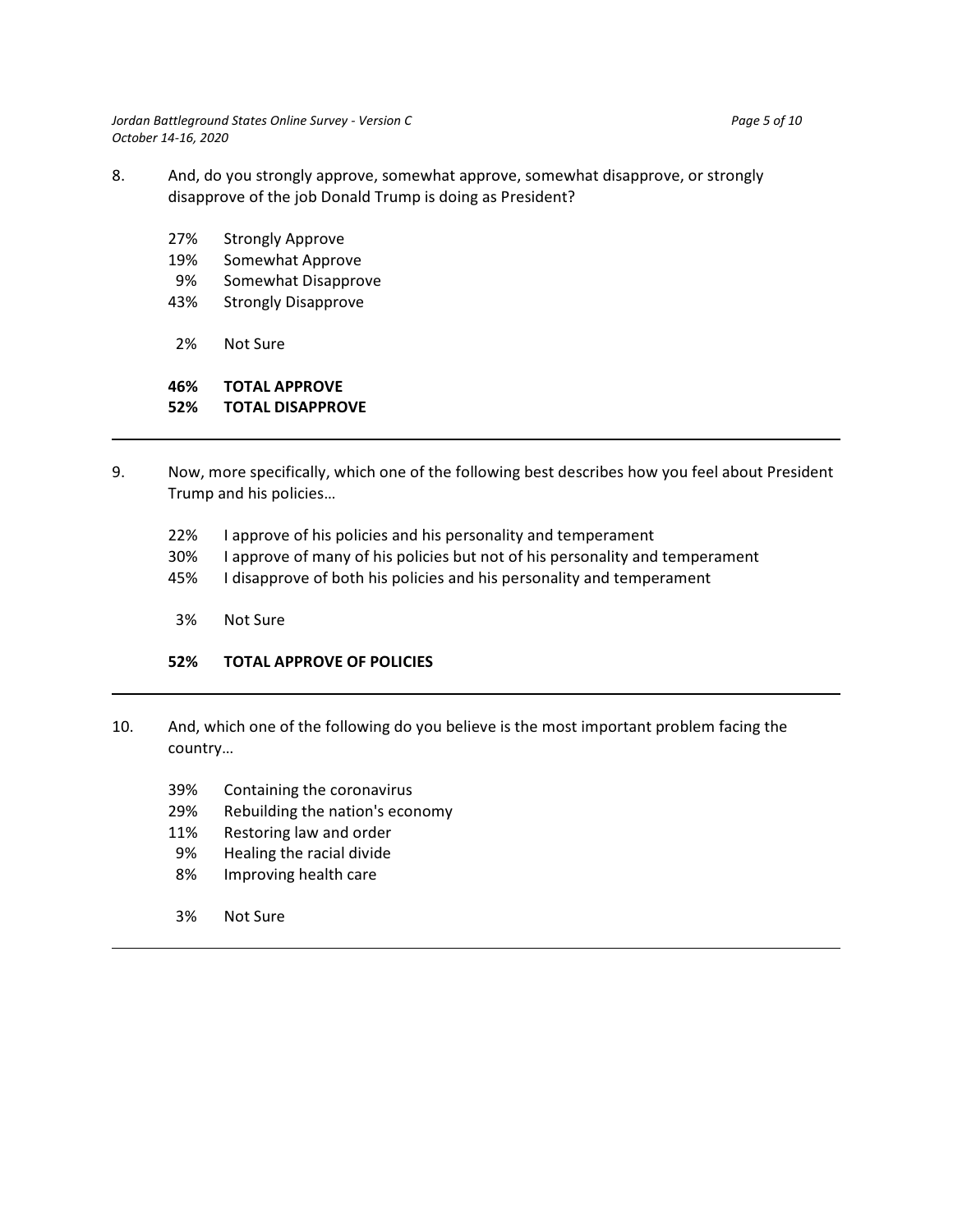*Jordan Battleground States Online Survey - Version C* Page 5 of 10 *October 14-16, 2020*

- 8. And, do you strongly approve, somewhat approve, somewhat disapprove, or strongly disapprove of the job Donald Trump is doing as President?
	- 27% Strongly Approve
	- 19% Somewhat Approve
	- 9% Somewhat Disapprove
	- 43% Strongly Disapprove
	- 2% Not Sure

# **46% TOTAL APPROVE**

#### **52% TOTAL DISAPPROVE**

- 9. Now, more specifically, which one of the following best describes how you feel about President Trump and his policies…
	- 22% I approve of his policies and his personality and temperament
	- 30% I approve of many of his policies but not of his personality and temperament
	- 45% I disapprove of both his policies and his personality and temperament
	- 3% Not Sure

### **52% TOTAL APPROVE OF POLICIES**

- 10. And, which one of the following do you believe is the most important problem facing the country…
	- 39% Containing the coronavirus
	- 29% Rebuilding the nation's economy
	- 11% Restoring law and order
	- 9% Healing the racial divide
	- 8% Improving health care
	- 3% Not Sure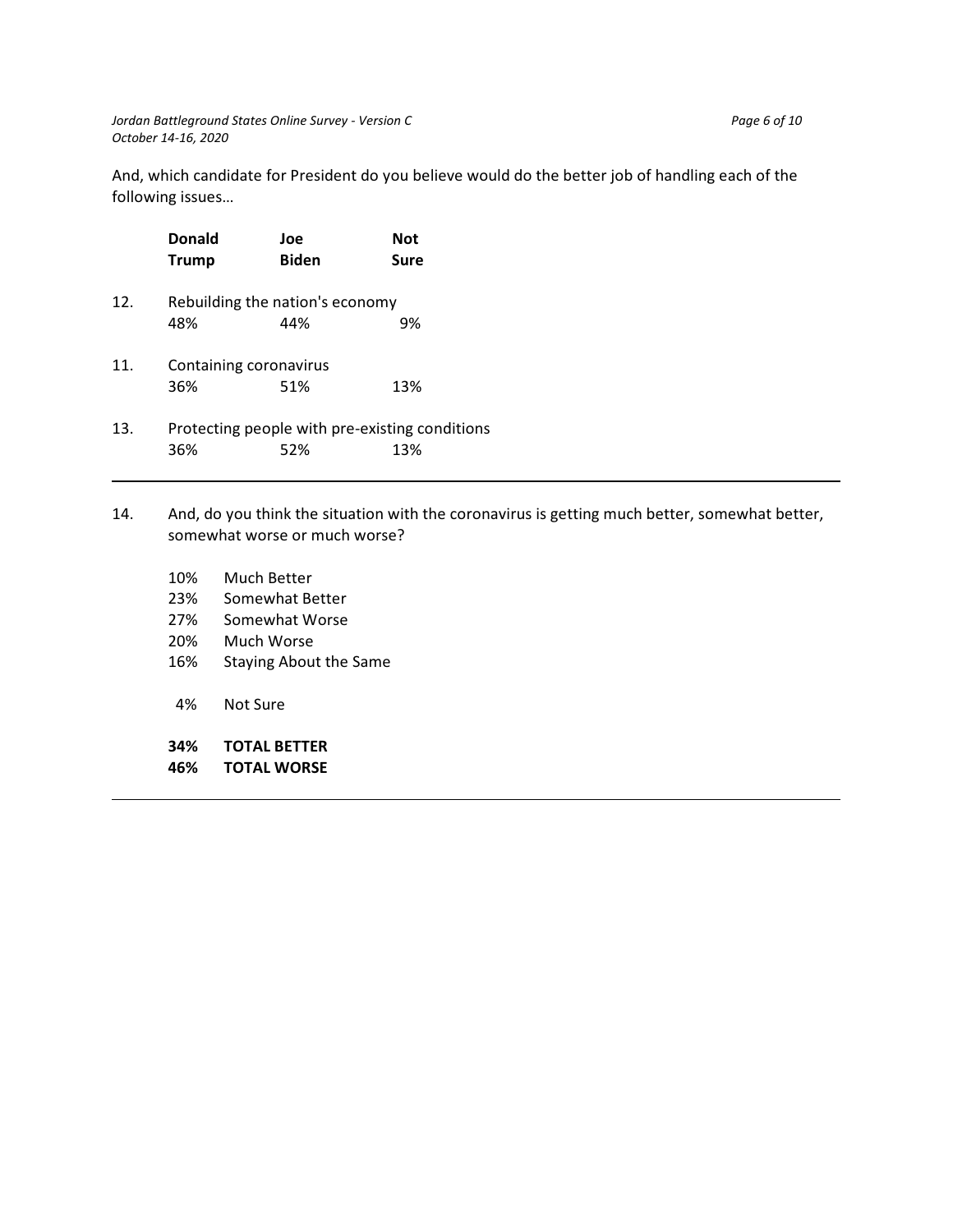And, which candidate for President do you believe would do the better job of handling each of the following issues…

|                                                       | <b>Donald</b><br><b>Trump</b> | Joe<br><b>Biden</b>             | <b>Not</b><br>Sure |
|-------------------------------------------------------|-------------------------------|---------------------------------|--------------------|
| 12.                                                   |                               | Rebuilding the nation's economy |                    |
|                                                       | 48%                           | 44%                             | 9%                 |
| 11.                                                   | Containing coronavirus        |                                 |                    |
|                                                       | 36%                           | 51%                             | 13%                |
| Protecting people with pre-existing conditions<br>13. |                               |                                 |                    |
|                                                       | 36%                           | 52%                             | 13%                |

## 14. And, do you think the situation with the coronavirus is getting much better, somewhat better, somewhat worse or much worse?

| 10% | Much Better                   |
|-----|-------------------------------|
| 23% | Somewhat Better               |
| 27% | Somewhat Worse                |
| 20% | Much Worse                    |
| 16% | <b>Staying About the Same</b> |
|     |                               |
| 4%  | Not Sure                      |
|     |                               |
| 34% | <b>TOTAL BETTER</b>           |
| 46% | <b>TOTAL WORSE</b>            |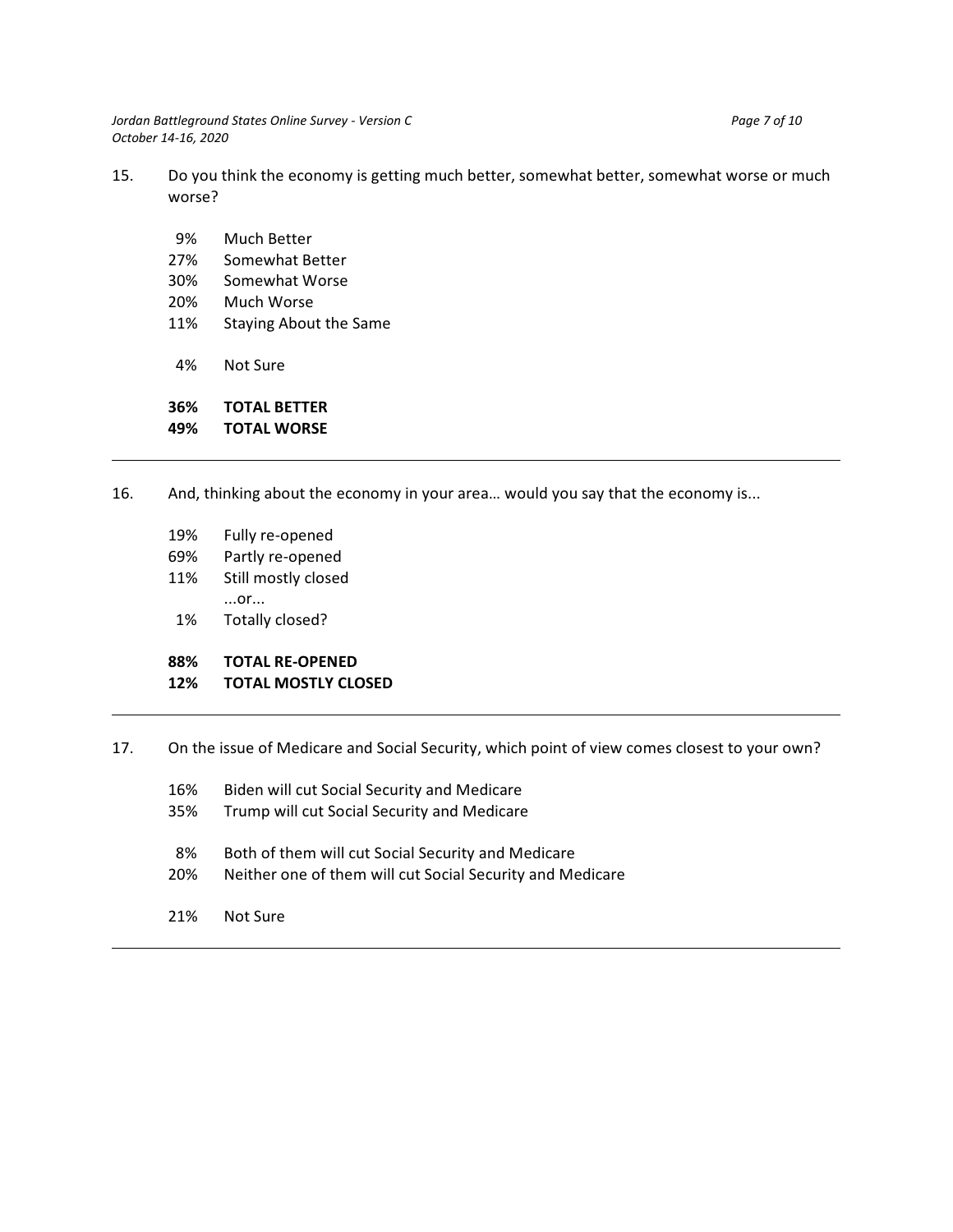*Jordan Battleground States Online Survey - Version C* Page 7 of 10 *October 14-16, 2020*

- 15. Do you think the economy is getting much better, somewhat better, somewhat worse or much worse?
	- 9% Much Better
	- 27% Somewhat Better
	- 30% Somewhat Worse
	- 20% Much Worse
	- 11% Staying About the Same
	- 4% Not Sure

**36% TOTAL BETTER 49% TOTAL WORSE**

- 16. And, thinking about the economy in your area… would you say that the economy is...
	- 19% Fully re-opened
	- 69% Partly re-opened
	- 11% Still mostly closed
		- ...or...
	- 1% Totally closed?
	- **88% TOTAL RE-OPENED**

### **12% TOTAL MOSTLY CLOSED**

- 17. On the issue of Medicare and Social Security, which point of view comes closest to your own?
	- 16% Biden will cut Social Security and Medicare
	- 35% Trump will cut Social Security and Medicare
	- 8% Both of them will cut Social Security and Medicare
	- 20% Neither one of them will cut Social Security and Medicare
	- 21% Not Sure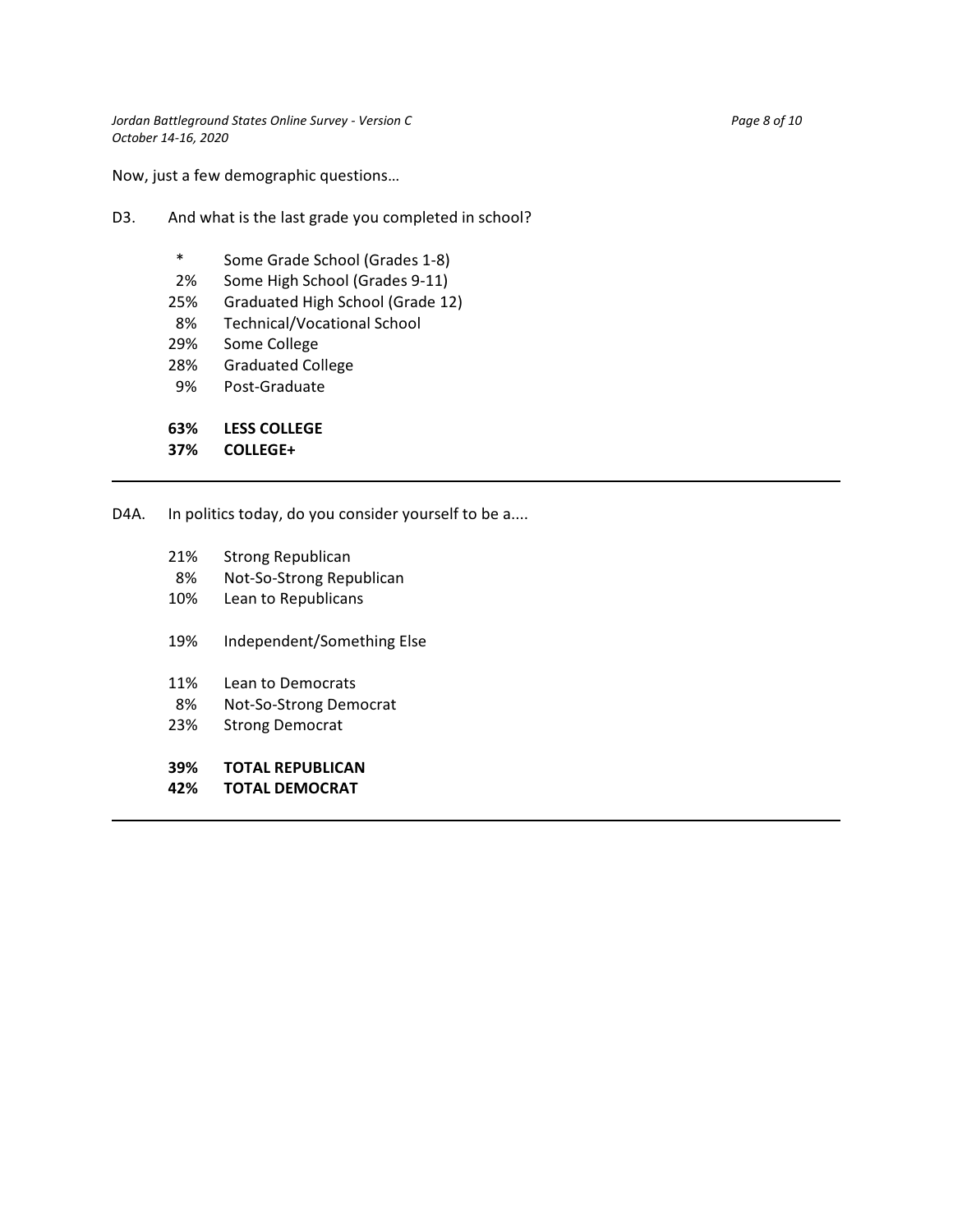Now, just a few demographic questions…

- D3. And what is the last grade you completed in school?
	- \* Some Grade School (Grades 1-8)
	- 2% Some High School (Grades 9-11)
	- 25% Graduated High School (Grade 12)
	- 8% Technical/Vocational School
	- 29% Some College
	- 28% Graduated College
	- 9% Post-Graduate

**63% LESS COLLEGE**

**37% COLLEGE+**

D4A. In politics today, do you consider yourself to be a....

- 21% Strong Republican
- 8% Not-So-Strong Republican
- 10% Lean to Republicans
- 19% Independent/Something Else
- 11% Lean to Democrats
- 8% Not-So-Strong Democrat
- 23% Strong Democrat

#### **39% TOTAL REPUBLICAN**

**42% TOTAL DEMOCRAT**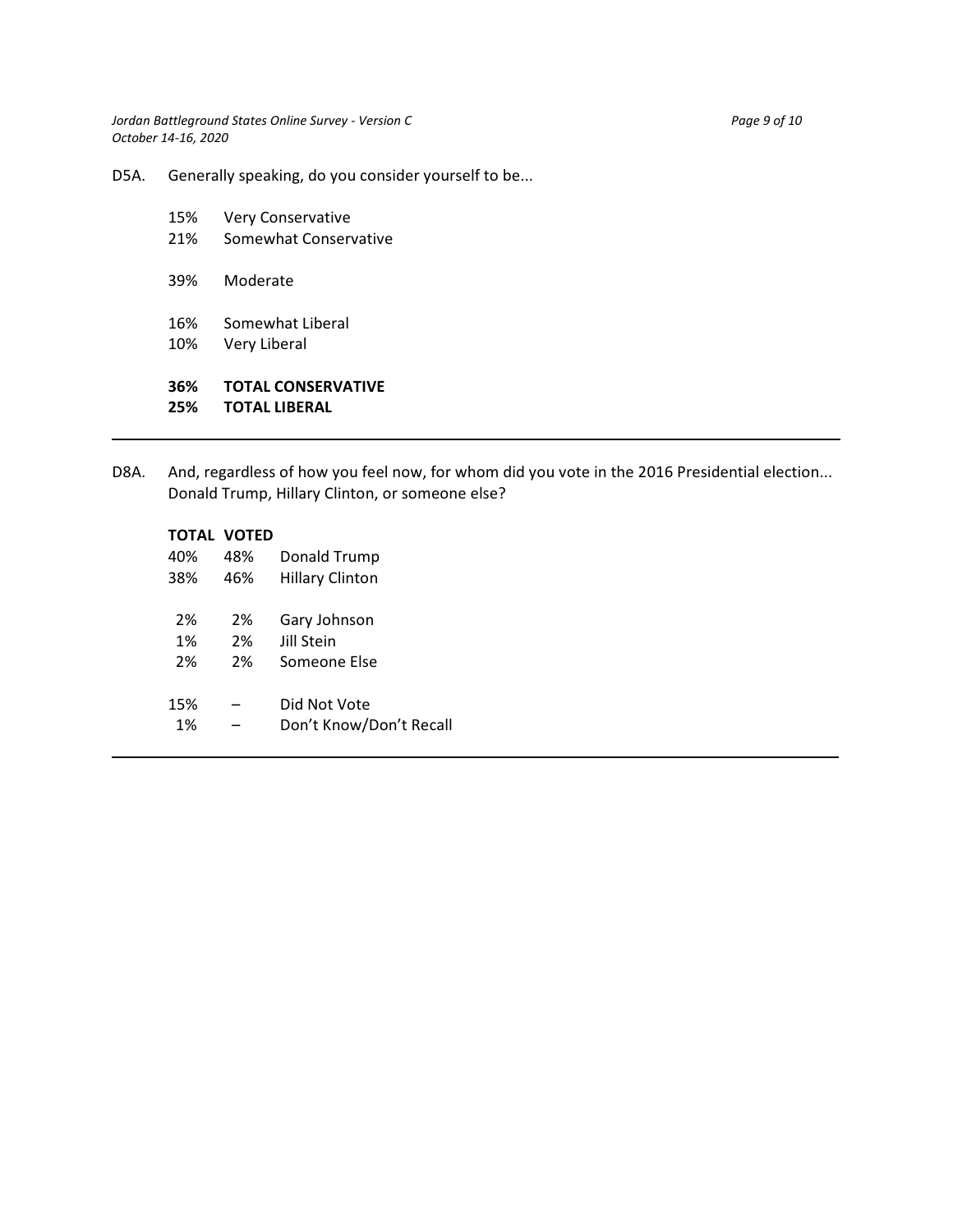*Jordan Battleground States Online Survey - Version C* Page 9 of 10 *October 14-16, 2020*

D5A. Generally speaking, do you consider yourself to be...

| 36% | <b>TOTAL CONSERVATIVE</b> |
|-----|---------------------------|
| 10% | Very Liberal              |
| 16% | Somewhat Liberal          |
| 39% | Moderate                  |
| 21% | Somewhat Conservative     |
| 15% | <b>Very Conservative</b>  |

D8A. And, regardless of how you feel now, for whom did you vote in the 2016 Presidential election... Donald Trump, Hillary Clinton, or someone else?

|     | TOTAL VOTED |                         |
|-----|-------------|-------------------------|
| 40% | 48%         | Donald Trump            |
| 38% | 46%         | Hillary Clinton         |
|     |             |                         |
| 2%  | 2%          | Gary Johnson            |
| 1%  | 2%          | lill Stein              |
| 2%  | 2%          | Someone Else            |
|     |             |                         |
| 15% |             | Did Not Vote            |
| 1%  |             | Don't Know/Don't Recall |
|     |             |                         |